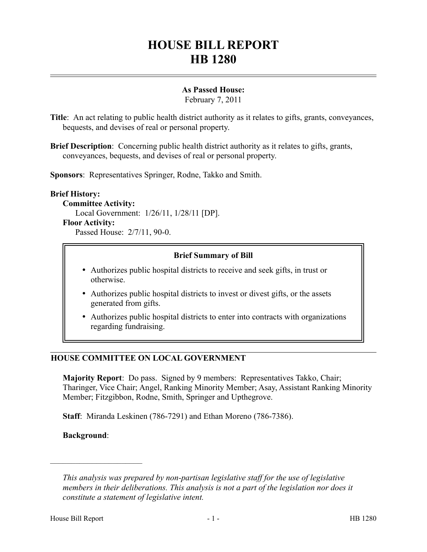# **HOUSE BILL REPORT HB 1280**

## **As Passed House:**

February 7, 2011

**Title**: An act relating to public health district authority as it relates to gifts, grants, conveyances, bequests, and devises of real or personal property.

**Brief Description**: Concerning public health district authority as it relates to gifts, grants, conveyances, bequests, and devises of real or personal property.

**Sponsors**: Representatives Springer, Rodne, Takko and Smith.

#### **Brief History:**

**Committee Activity:** Local Government: 1/26/11, 1/28/11 [DP].

**Floor Activity:**

Passed House: 2/7/11, 90-0.

#### **Brief Summary of Bill**

- Authorizes public hospital districts to receive and seek gifts, in trust or otherwise.
- Authorizes public hospital districts to invest or divest gifts, or the assets generated from gifts.
- Authorizes public hospital districts to enter into contracts with organizations regarding fundraising.

### **HOUSE COMMITTEE ON LOCAL GOVERNMENT**

**Majority Report**: Do pass. Signed by 9 members: Representatives Takko, Chair; Tharinger, Vice Chair; Angel, Ranking Minority Member; Asay, Assistant Ranking Minority Member; Fitzgibbon, Rodne, Smith, Springer and Upthegrove.

**Staff**: Miranda Leskinen (786-7291) and Ethan Moreno (786-7386).

**Background**:

––––––––––––––––––––––

*This analysis was prepared by non-partisan legislative staff for the use of legislative members in their deliberations. This analysis is not a part of the legislation nor does it constitute a statement of legislative intent.*